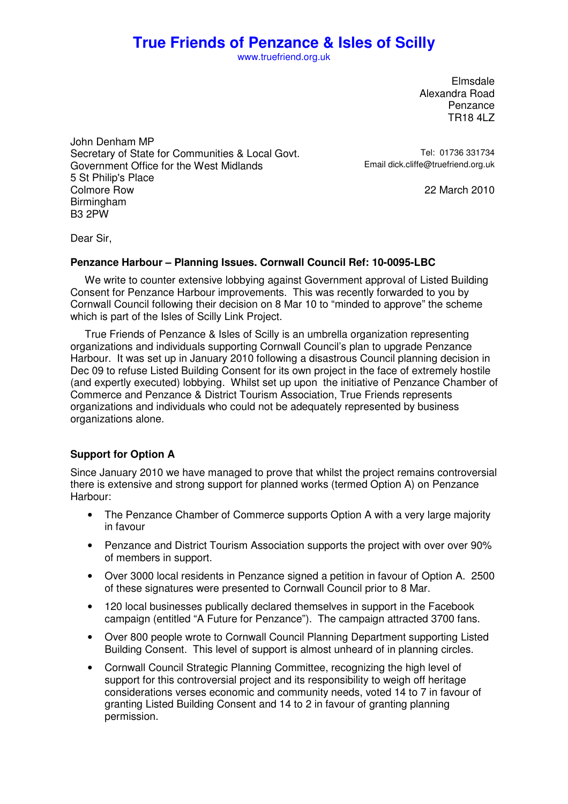www.truefriend.org.uk

Elmsdale Alexandra Road Penzance TR18 4LZ

John Denham MP Secretary of State for Communities & Local Govt.<br>Government Office for the West Midlands Frail dick cliffe@truefriend.org.uk Government Office for the West Midlands 5 St Philip's Place Birmingham B3 2PW

22 March 2010

Dear Sir,

#### **Penzance Harbour – Planning Issues. Cornwall Council Ref: 10-0095-LBC**

 We write to counter extensive lobbying against Government approval of Listed Building Consent for Penzance Harbour improvements. This was recently forwarded to you by Cornwall Council following their decision on 8 Mar 10 to "minded to approve" the scheme which is part of the Isles of Scilly Link Project.

 True Friends of Penzance & Isles of Scilly is an umbrella organization representing organizations and individuals supporting Cornwall Council's plan to upgrade Penzance Harbour. It was set up in January 2010 following a disastrous Council planning decision in Dec 09 to refuse Listed Building Consent for its own project in the face of extremely hostile (and expertly executed) lobbying. Whilst set up upon the initiative of Penzance Chamber of Commerce and Penzance & District Tourism Association, True Friends represents organizations and individuals who could not be adequately represented by business organizations alone.

### **Support for Option A**

Since January 2010 we have managed to prove that whilst the project remains controversial there is extensive and strong support for planned works (termed Option A) on Penzance Harbour:

- The Penzance Chamber of Commerce supports Option A with a very large majority in favour
- Penzance and District Tourism Association supports the project with over over 90% of members in support.
- Over 3000 local residents in Penzance signed a petition in favour of Option A. 2500 of these signatures were presented to Cornwall Council prior to 8 Mar.
- 120 local businesses publically declared themselves in support in the Facebook campaign (entitled "A Future for Penzance"). The campaign attracted 3700 fans.
- Over 800 people wrote to Cornwall Council Planning Department supporting Listed Building Consent. This level of support is almost unheard of in planning circles.
- Cornwall Council Strategic Planning Committee, recognizing the high level of support for this controversial project and its responsibility to weigh off heritage considerations verses economic and community needs, voted 14 to 7 in favour of granting Listed Building Consent and 14 to 2 in favour of granting planning permission.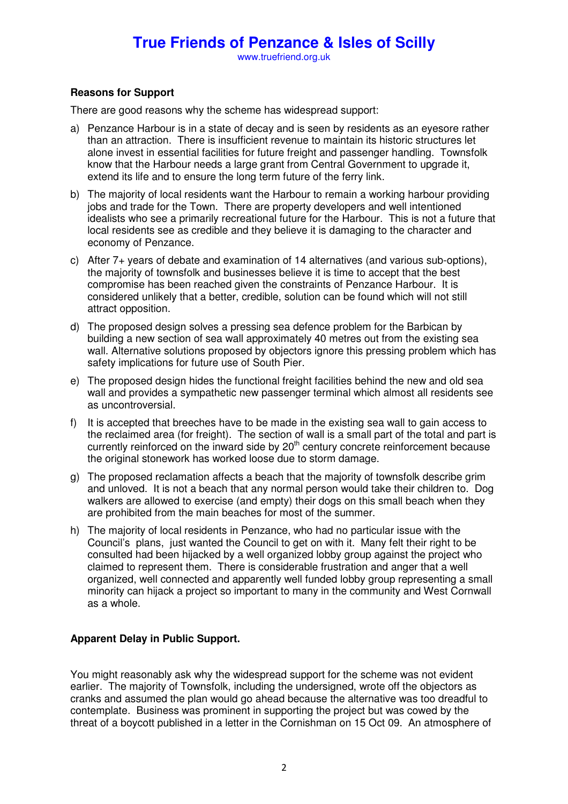www.truefriend.org.uk

### **Reasons for Support**

There are good reasons why the scheme has widespread support:

- a) Penzance Harbour is in a state of decay and is seen by residents as an eyesore rather than an attraction. There is insufficient revenue to maintain its historic structures let alone invest in essential facilities for future freight and passenger handling. Townsfolk know that the Harbour needs a large grant from Central Government to upgrade it, extend its life and to ensure the long term future of the ferry link.
- b) The majority of local residents want the Harbour to remain a working harbour providing jobs and trade for the Town. There are property developers and well intentioned idealists who see a primarily recreational future for the Harbour. This is not a future that local residents see as credible and they believe it is damaging to the character and economy of Penzance.
- c) After 7+ years of debate and examination of 14 alternatives (and various sub-options), the majority of townsfolk and businesses believe it is time to accept that the best compromise has been reached given the constraints of Penzance Harbour. It is considered unlikely that a better, credible, solution can be found which will not still attract opposition.
- d) The proposed design solves a pressing sea defence problem for the Barbican by building a new section of sea wall approximately 40 metres out from the existing sea wall. Alternative solutions proposed by objectors ignore this pressing problem which has safety implications for future use of South Pier.
- e) The proposed design hides the functional freight facilities behind the new and old sea wall and provides a sympathetic new passenger terminal which almost all residents see as uncontroversial.
- f) It is accepted that breeches have to be made in the existing sea wall to gain access to the reclaimed area (for freight). The section of wall is a small part of the total and part is currently reinforced on the inward side by 20<sup>th</sup> century concrete reinforcement because the original stonework has worked loose due to storm damage.
- g) The proposed reclamation affects a beach that the majority of townsfolk describe grim and unloved. It is not a beach that any normal person would take their children to. Dog walkers are allowed to exercise (and empty) their dogs on this small beach when they are prohibited from the main beaches for most of the summer.
- h) The majority of local residents in Penzance, who had no particular issue with the Council's plans, just wanted the Council to get on with it. Many felt their right to be consulted had been hijacked by a well organized lobby group against the project who claimed to represent them. There is considerable frustration and anger that a well organized, well connected and apparently well funded lobby group representing a small minority can hijack a project so important to many in the community and West Cornwall as a whole.

### **Apparent Delay in Public Support.**

You might reasonably ask why the widespread support for the scheme was not evident earlier. The majority of Townsfolk, including the undersigned, wrote off the objectors as cranks and assumed the plan would go ahead because the alternative was too dreadful to contemplate. Business was prominent in supporting the project but was cowed by the threat of a boycott published in a letter in the Cornishman on 15 Oct 09. An atmosphere of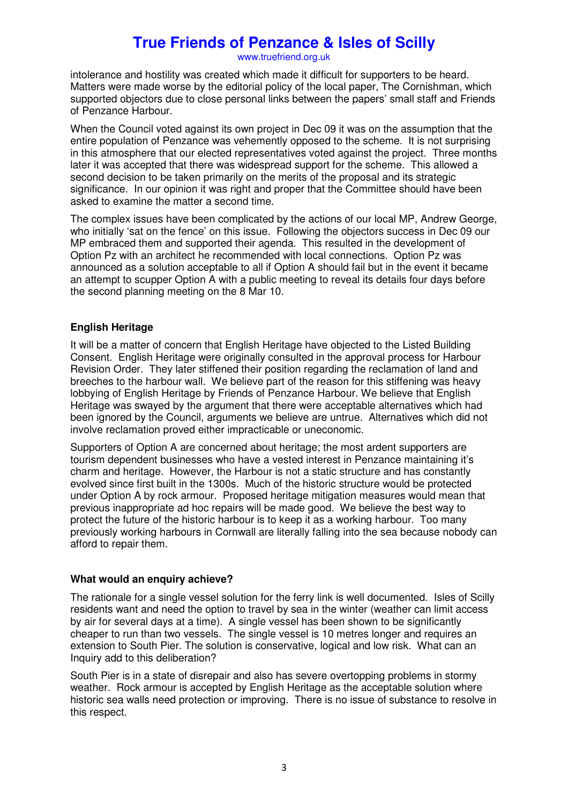www.truefriend.org.uk

intolerance and hostility was created which made it difficult for supporters to be heard. Matters were made worse by the editorial policy of the local paper, The Cornishman, which supported objectors due to close personal links between the papers' small staff and Friends of Penzance Harbour.

When the Council voted against its own project in Dec 09 it was on the assumption that the entire population of Penzance was vehemently opposed to the scheme. It is not surprising in this atmosphere that our elected representatives voted against the project. Three months later it was accepted that there was widespread support for the scheme. This allowed a second decision to be taken primarily on the merits of the proposal and its strategic significance. In our opinion it was right and proper that the Committee should have been asked to examine the matter a second time.

The complex issues have been complicated by the actions of our local MP, Andrew George, who initially 'sat on the fence' on this issue. Following the objectors success in Dec 09 our MP embraced them and supported their agenda. This resulted in the development of Option Pz with an architect he recommended with local connections. Option Pz was announced as a solution acceptable to all if Option A should fail but in the event it became an attempt to scupper Option A with a public meeting to reveal its details four days before the second planning meeting on the 8 Mar 10.

### **English Heritage**

It will be a matter of concern that English Heritage have objected to the Listed Building Consent. English Heritage were originally consulted in the approval process for Harbour Revision Order. They later stiffened their position regarding the reclamation of land and breeches to the harbour wall. We believe part of the reason for this stiffening was heavy lobbying of English Heritage by Friends of Penzance Harbour. We believe that English Heritage was swayed by the argument that there were acceptable alternatives which had been ignored by the Council, arguments we believe are untrue. Alternatives which did not involve reclamation proved either impracticable or uneconomic.

Supporters of Option A are concerned about heritage; the most ardent supporters are tourism dependent businesses who have a vested interest in Penzance maintaining it's charm and heritage. However, the Harbour is not a static structure and has constantly evolved since first built in the 1300s. Much of the historic structure would be protected under Option A by rock armour. Proposed heritage mitigation measures would mean that previous inappropriate ad hoc repairs will be made good. We believe the best way to protect the future of the historic harbour is to keep it as a working harbour. Too many previously working harbours in Cornwall are literally falling into the sea because nobody can afford to repair them.

### **What would an enquiry achieve?**

The rationale for a single vessel solution for the ferry link is well documented. Isles of Scilly residents want and need the option to travel by sea in the winter (weather can limit access by air for several days at a time). A single vessel has been shown to be significantly cheaper to run than two vessels. The single vessel is 10 metres longer and requires an extension to South Pier. The solution is conservative, logical and low risk. What can an Inquiry add to this deliberation?

South Pier is in a state of disrepair and also has severe overtopping problems in stormy weather. Rock armour is accepted by English Heritage as the acceptable solution where historic sea walls need protection or improving. There is no issue of substance to resolve in this respect.